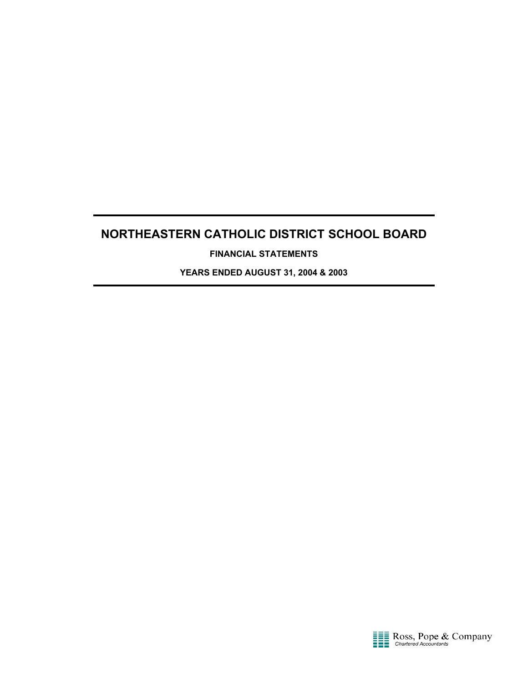**FINANCIAL STATEMENTS**

**YEARS ENDED AUGUST 31, 2004 & 2003**

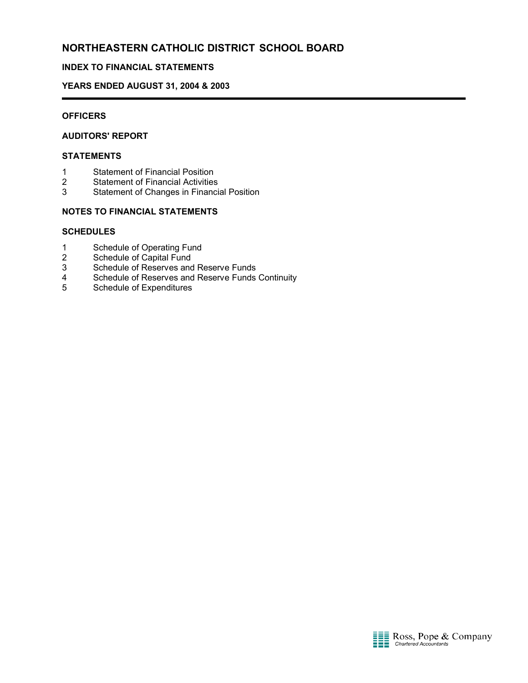## **INDEX TO FINANCIAL STATEMENTS**

### **YEARS ENDED AUGUST 31, 2004 & 2003**

### **OFFICERS**

## **AUDITORS' REPORT**

#### **STATEMENTS**

- 1 Statement of Financial Position<br>2 Statement of Financial Activities
- **Statement of Financial Activities**
- 3 Statement of Changes in Financial Position

## **NOTES TO FINANCIAL STATEMENTS**

#### **SCHEDULES**

- 1 Schedule of Operating Fund
- 2 Schedule of Capital Fund
- 3 Schedule of Reserves and Reserve Funds
- 4 Schedule of Reserves and Reserve Funds Continuity<br>5 Schedule of Expenditures
- 5 Schedule of Expenditures

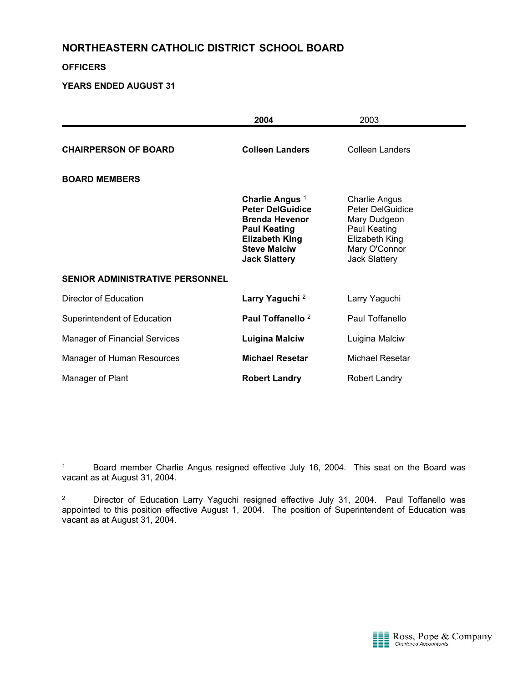### **OFFICERS**

## **YEARS ENDED AUGUST 31**

|                                        | 2004                                                                                                                                                                          | 2003                                                                                                                                |
|----------------------------------------|-------------------------------------------------------------------------------------------------------------------------------------------------------------------------------|-------------------------------------------------------------------------------------------------------------------------------------|
| <b>CHAIRPERSON OF BOARD</b>            | <b>Colleen Landers</b>                                                                                                                                                        | Colleen Landers                                                                                                                     |
| <b>BOARD MEMBERS</b>                   |                                                                                                                                                                               |                                                                                                                                     |
|                                        | Charlie Angus <sup>1</sup><br><b>Peter DelGuidice</b><br><b>Brenda Hevenor</b><br><b>Paul Keating</b><br><b>Elizabeth King</b><br><b>Steve Malciw</b><br><b>Jack Slattery</b> | <b>Charlie Angus</b><br>Peter DelGuidice<br>Mary Dudgeon<br>Paul Keating<br>Elizabeth King<br>Mary O'Connor<br><b>Jack Slattery</b> |
| <b>SENIOR ADMINISTRATIVE PERSONNEL</b> |                                                                                                                                                                               |                                                                                                                                     |
| Director of Education                  | Larry Yaguchi <sup>2</sup>                                                                                                                                                    | Larry Yaguchi                                                                                                                       |
| Superintendent of Education            | Paul Toffanello <sup>2</sup>                                                                                                                                                  | Paul Toffanello                                                                                                                     |
| <b>Manager of Financial Services</b>   | <b>Luigina Malciw</b>                                                                                                                                                         | Luigina Malciw                                                                                                                      |
| Manager of Human Resources             | <b>Michael Resetar</b>                                                                                                                                                        | Michael Resetar                                                                                                                     |
| Manager of Plant                       | <b>Robert Landry</b>                                                                                                                                                          | Robert Landry                                                                                                                       |

<sup>1</sup> Board member Charlie Angus resigned effective July 16, 2004. This seat on the Board was vacant as at August 31, 2004.

<sup>2</sup> Director of Education Larry Yaguchi resigned effective July 31, 2004. Paul Toffanello was appointed to this position effective August 1, 2004. The position of Superintendent of Education was vacant as at August 31, 2004.

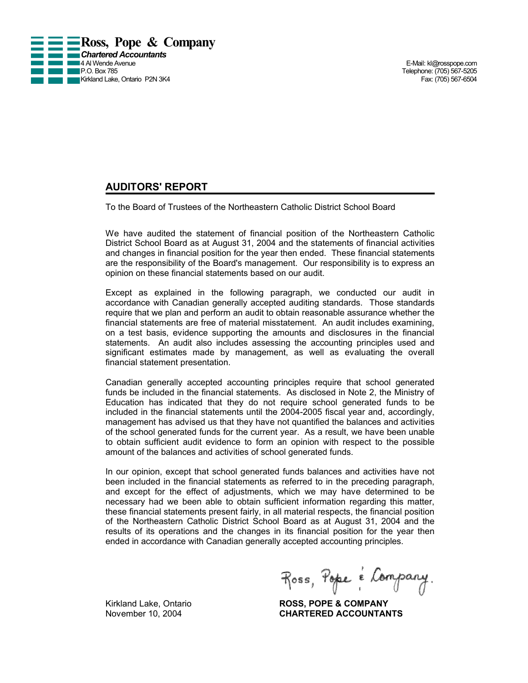

Telephone: (705) 567-5205<br>Fax: (705) 567-6504

## **AUDITORS' REPORT**

To the Board of Trustees of the Northeastern Catholic District School Board

We have audited the statement of financial position of the Northeastern Catholic District School Board as at August 31, 2004 and the statements of financial activities and changes in financial position for the year then ended. These financial statements are the responsibility of the Board's management. Our responsibility is to express an opinion on these financial statements based on our audit.

Except as explained in the following paragraph, we conducted our audit in accordance with Canadian generally accepted auditing standards. Those standards require that we plan and perform an audit to obtain reasonable assurance whether the financial statements are free of material misstatement. An audit includes examining, on a test basis, evidence supporting the amounts and disclosures in the financial statements. An audit also includes assessing the accounting principles used and significant estimates made by management, as well as evaluating the overall financial statement presentation.

Canadian generally accepted accounting principles require that school generated funds be included in the financial statements. As disclosed in Note 2, the Ministry of Education has indicated that they do not require school generated funds to be included in the financial statements until the 2004-2005 fiscal year and, accordingly, management has advised us that they have not quantified the balances and activities of the school generated funds for the current year. As a result, we have been unable to obtain sufficient audit evidence to form an opinion with respect to the possible amount of the balances and activities of school generated funds.

In our opinion, except that school generated funds balances and activities have not been included in the financial statements as referred to in the preceding paragraph, and except for the effect of adjustments, which we may have determined to be necessary had we been able to obtain sufficient information regarding this matter, these financial statements present fairly, in all material respects, the financial position of the Northeastern Catholic District School Board as at August 31, 2004 and the results of its operations and the changes in its financial position for the year then ended in accordance with Canadian generally accepted accounting principles.

Ross, Pope é Company.

Kirkland Lake, Ontario **ROSS, POPE & COMPANY** November 10, 2004 **CHARTERED ACCOUNTANTS**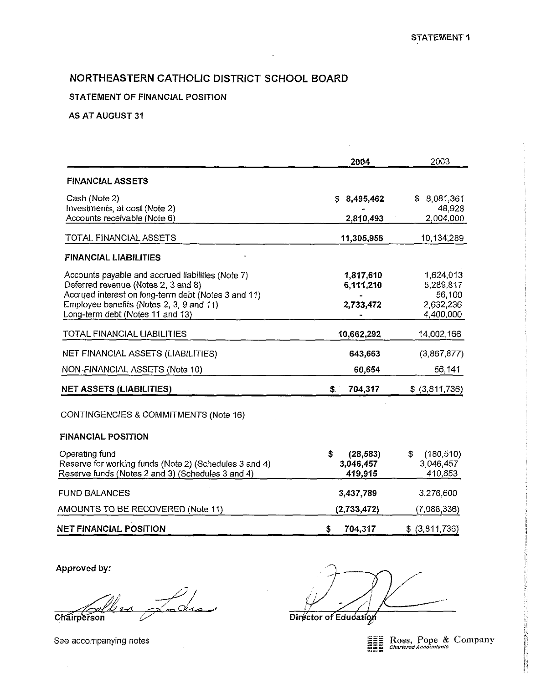## STATEMENT OF FINANCIAL POSITION

### AS AT AUGUST 31

|                                                        | 2004             | 2003             |
|--------------------------------------------------------|------------------|------------------|
| <b>FINANCIAL ASSETS</b>                                |                  |                  |
| Cash (Note 2)                                          | 8,495,462<br>\$. | \$8,081,361      |
| Investments, at cost (Note 2)                          |                  | 48,928           |
| Accounts receivable (Note 6)                           | 2,810,493        | 2,004,000        |
| TOTAL FINANCIAL ASSETS                                 | 11,305,955       | 10,134,289       |
| <b>FINANCIAL LIABILITIES</b><br>Δ                      |                  |                  |
| Accounts payable and accrued liabilities (Note 7)      | 1,817,610        | 1,624,013        |
| Deferred revenue (Notes 2, 3 and 8)                    | 6,111,210        | 5,289,817        |
| Accrued interest on long-term debt (Notes 3 and 11)    |                  | 56,100           |
| Employee benefits (Notes 2, 3, 9 and 11)               | 2,733,472        | 2,632,236        |
| Long-term debt (Notes 11 and 13)                       |                  | 4,400,000        |
| TOTAL FINANCIAL LIABILITIES                            | 10,662,292       | 14,002,166       |
| NET FINANCIAL ASSETS (LIABILITIES)                     | 643,663          | (3,867,877)      |
| NON-FINANCIAL ASSETS (Note 10)                         | 60,654           | 56,141           |
| <b>NET ASSETS (LIABILITIES)</b>                        | 704,317<br>\$.   | \$ (3,811,736)   |
| CONTINGENCIES & COMMITMENTS (Note 16)                  |                  |                  |
| <b>FINANCIAL POSITION</b>                              |                  |                  |
| Operating fund                                         | \$<br>(28, 583)  | (180, 510)<br>\$ |
| Reserve for working funds (Note 2) (Schedules 3 and 4) | 3,046,457        | 3,046,457        |
| Reserve funds (Notes 2 and 3) (Schedules 3 and 4)      | 419,915          | 410,653          |
| <b>FUND BALANCES</b>                                   | 3,437,789        | 3,276,600        |
| AMOUNTS TO BE RECOVERED (Note 11)                      | (2,733,472)      | (7,088,336)      |
| <b>NET FINANCIAL POSITION</b>                          | S.<br>704,317    | \$ (3,811,736)   |

Approved by:

John Chairperson

Director of Education

Ross, Pope & Company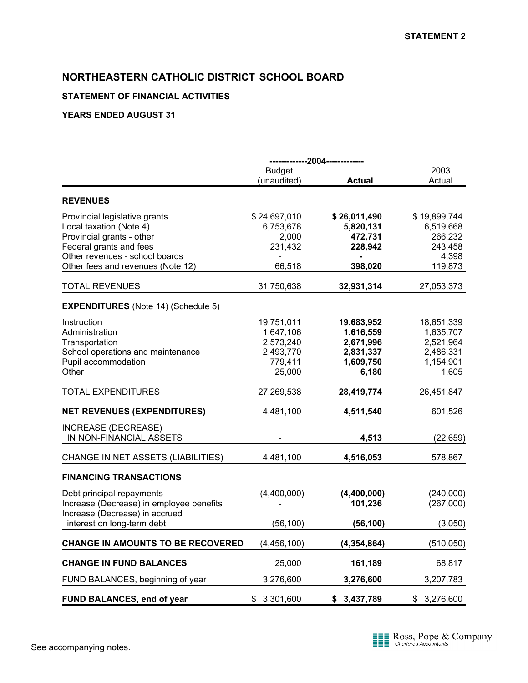## **STATEMENT OF FINANCIAL ACTIVITIES**

|                                            |               | -------------2004------------- |              |  |
|--------------------------------------------|---------------|--------------------------------|--------------|--|
|                                            | <b>Budget</b> |                                | 2003         |  |
|                                            | (unaudited)   | <b>Actual</b>                  | Actual       |  |
| <b>REVENUES</b>                            |               |                                |              |  |
| Provincial legislative grants              | \$24,697,010  | \$26,011,490                   | \$19,899,744 |  |
| Local taxation (Note 4)                    | 6,753,678     | 5,820,131                      | 6,519,668    |  |
| Provincial grants - other                  | 2,000         | 472,731                        | 266,232      |  |
| Federal grants and fees                    | 231,432       | 228,942                        | 243,458      |  |
| Other revenues - school boards             |               |                                | 4,398        |  |
| Other fees and revenues (Note 12)          | 66,518        | 398,020                        | 119,873      |  |
| <b>TOTAL REVENUES</b>                      | 31,750,638    | 32,931,314                     | 27,053,373   |  |
| <b>EXPENDITURES</b> (Note 14) (Schedule 5) |               |                                |              |  |
| Instruction                                | 19,751,011    | 19,683,952                     | 18,651,339   |  |
| Administration                             | 1,647,106     | 1,616,559                      | 1,635,707    |  |
| Transportation                             | 2,573,240     | 2,671,996                      | 2,521,964    |  |
| School operations and maintenance          | 2,493,770     | 2,831,337                      | 2,486,331    |  |
| Pupil accommodation                        | 779,411       | 1,609,750                      | 1,154,901    |  |
| Other                                      | 25,000        | 6,180                          | 1,605        |  |
| <b>TOTAL EXPENDITURES</b>                  | 27,269,538    | 28,419,774                     | 26,451,847   |  |
| <b>NET REVENUES (EXPENDITURES)</b>         | 4,481,100     | 4,511,540                      | 601,526      |  |
| <b>INCREASE (DECREASE)</b>                 |               |                                |              |  |
| IN NON-FINANCIAL ASSETS                    |               | 4,513                          | (22, 659)    |  |
| CHANGE IN NET ASSETS (LIABILITIES)         | 4,481,100     | 4,516,053                      | 578,867      |  |
|                                            |               |                                |              |  |
| <b>FINANCING TRANSACTIONS</b>              |               |                                |              |  |
| Debt principal repayments                  | (4,400,000)   | (4,400,000)                    | (240,000)    |  |
| Increase (Decrease) in employee benefits   |               | 101,236                        | (267,000)    |  |
| Increase (Decrease) in accrued             |               |                                |              |  |
| interest on long-term debt                 | (56, 100)     | (56, 100)                      | (3,050)      |  |
| <b>CHANGE IN AMOUNTS TO BE RECOVERED</b>   | (4, 456, 100) | (4, 354, 864)                  | (510, 050)   |  |
| <b>CHANGE IN FUND BALANCES</b>             | 25,000        | 161,189                        | 68,817       |  |
| FUND BALANCES, beginning of year           | 3,276,600     | 3,276,600                      | 3,207,783    |  |
|                                            |               |                                |              |  |
| FUND BALANCES, end of year                 | \$3,301,600   | \$3,437,789                    | \$3,276,600  |  |

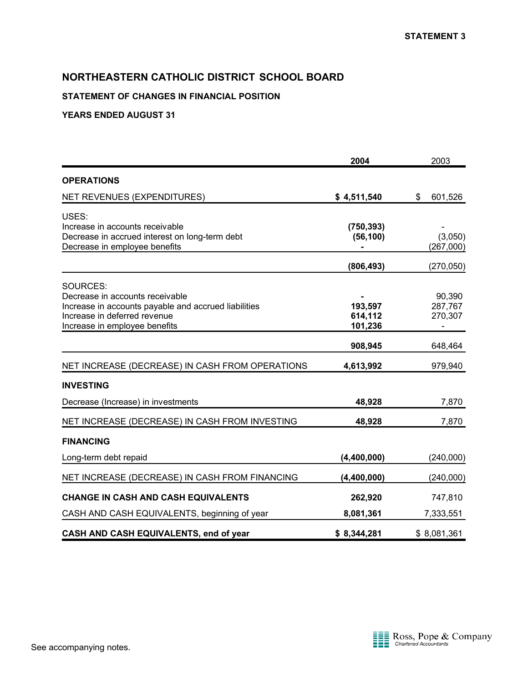## **STATEMENT OF CHANGES IN FINANCIAL POSITION**

|                                                                                                                                                                      | 2004                          | 2003                         |
|----------------------------------------------------------------------------------------------------------------------------------------------------------------------|-------------------------------|------------------------------|
| <b>OPERATIONS</b>                                                                                                                                                    |                               |                              |
| NET REVENUES (EXPENDITURES)                                                                                                                                          | \$4,511,540                   | \$<br>601,526                |
| USES:<br>Increase in accounts receivable<br>Decrease in accrued interest on long-term debt<br>Decrease in employee benefits                                          | (750, 393)<br>(56, 100)       | (3,050)<br>(267,000)         |
|                                                                                                                                                                      | (806, 493)                    | (270,050)                    |
| SOURCES:<br>Decrease in accounts receivable<br>Increase in accounts payable and accrued liabilities<br>Increase in deferred revenue<br>Increase in employee benefits | 193,597<br>614,112<br>101,236 | 90,390<br>287,767<br>270,307 |
|                                                                                                                                                                      | 908,945                       | 648,464                      |
| NET INCREASE (DECREASE) IN CASH FROM OPERATIONS                                                                                                                      | 4,613,992                     | 979,940                      |
| <b>INVESTING</b>                                                                                                                                                     |                               |                              |
| Decrease (Increase) in investments                                                                                                                                   | 48,928                        | 7,870                        |
| NET INCREASE (DECREASE) IN CASH FROM INVESTING                                                                                                                       | 48,928                        | 7,870                        |
| <b>FINANCING</b>                                                                                                                                                     |                               |                              |
| Long-term debt repaid                                                                                                                                                | (4,400,000)                   | (240,000)                    |
| NET INCREASE (DECREASE) IN CASH FROM FINANCING                                                                                                                       | (4,400,000)                   | (240,000)                    |
| <b>CHANGE IN CASH AND CASH EQUIVALENTS</b>                                                                                                                           | 262,920                       | 747,810                      |
| CASH AND CASH EQUIVALENTS, beginning of year                                                                                                                         | 8,081,361                     | 7,333,551                    |
| CASH AND CASH EQUIVALENTS, end of year                                                                                                                               | \$8,344,281                   | \$8,081,361                  |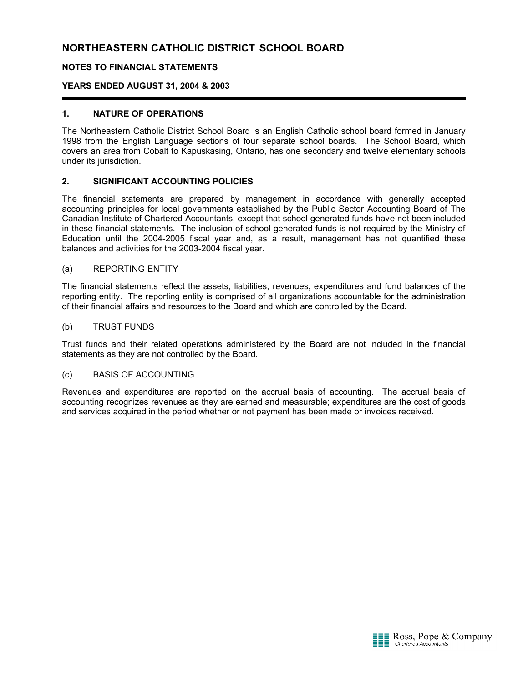### **NOTES TO FINANCIAL STATEMENTS**

### **YEARS ENDED AUGUST 31, 2004 & 2003**

#### **1. NATURE OF OPERATIONS**

The Northeastern Catholic District School Board is an English Catholic school board formed in January 1998 from the English Language sections of four separate school boards. The School Board, which covers an area from Cobalt to Kapuskasing, Ontario, has one secondary and twelve elementary schools under its jurisdiction.

#### **2. SIGNIFICANT ACCOUNTING POLICIES**

The financial statements are prepared by management in accordance with generally accepted accounting principles for local governments established by the Public Sector Accounting Board of The Canadian Institute of Chartered Accountants, except that school generated funds have not been included in these financial statements. The inclusion of school generated funds is not required by the Ministry of Education until the 2004-2005 fiscal year and, as a result, management has not quantified these balances and activities for the 2003-2004 fiscal year.

#### (a) REPORTING ENTITY

The financial statements reflect the assets, liabilities, revenues, expenditures and fund balances of the reporting entity. The reporting entity is comprised of all organizations accountable for the administration of their financial affairs and resources to the Board and which are controlled by the Board.

#### (b) TRUST FUNDS

Trust funds and their related operations administered by the Board are not included in the financial statements as they are not controlled by the Board.

#### (c) BASIS OF ACCOUNTING

Revenues and expenditures are reported on the accrual basis of accounting. The accrual basis of accounting recognizes revenues as they are earned and measurable; expenditures are the cost of goods and services acquired in the period whether or not payment has been made or invoices received.

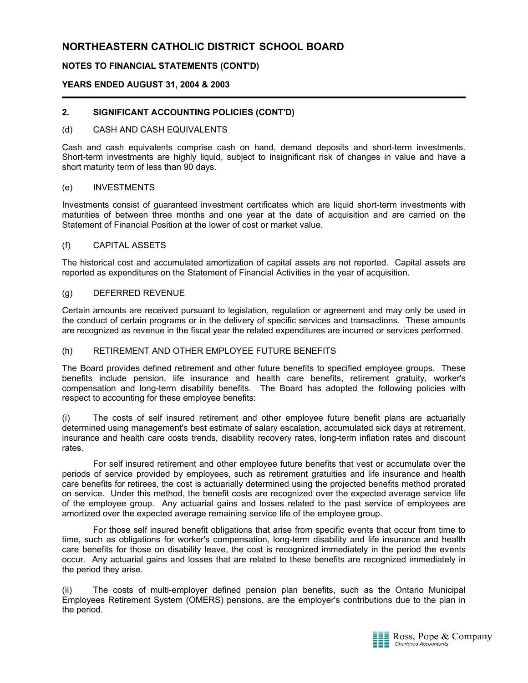## **NOTES TO FINANCIAL STATEMENTS (CONT'D)**

#### **YEARS ENDED AUGUST 31, 2004 & 2003**

#### **2. SIGNIFICANT ACCOUNTING POLICIES (CONT'D)**

#### (d) CASH AND CASH EQUIVALENTS

Cash and cash equivalents comprise cash on hand, demand deposits and short-term investments. Short-term investments are highly liquid, subject to insignificant risk of changes in value and have a short maturity term of less than 90 days.

#### (e) INVESTMENTS

Investments consist of guaranteed investment certificates which are liquid short-term investments with maturities of between three months and one year at the date of acquisition and are carried on the Statement of Financial Position at the lower of cost or market value.

#### (f) CAPITAL ASSETS

The historical cost and accumulated amortization of capital assets are not reported. Capital assets are reported as expenditures on the Statement of Financial Activities in the year of acquisition.

#### (g) DEFERRED REVENUE

Certain amounts are received pursuant to legislation, regulation or agreement and may only be used in the conduct of certain programs or in the delivery of specific services and transactions. These amounts are recognized as revenue in the fiscal year the related expenditures are incurred or services performed.

#### (h) RETIREMENT AND OTHER EMPLOYEE FUTURE BENEFITS

The Board provides defined retirement and other future benefits to specified employee groups. These benefits include pension, life insurance and health care benefits, retirement gratuity, worker's compensation and long-term disability benefits. The Board has adopted the following policies with respect to accounting for these employee benefits:

(i) The costs of self insured retirement and other employee future benefit plans are actuarially determined using management's best estimate of salary escalation, accumulated sick days at retirement, insurance and health care costs trends, disability recovery rates, long-term inflation rates and discount rates.

For self insured retirement and other employee future benefits that vest or accumulate over the periods of service provided by employees, such as retirement gratuities and life insurance and health care benefits for retirees, the cost is actuarially determined using the projected benefits method prorated on service. Under this method, the benefit costs are recognized over the expected average service life of the employee group. Any actuarial gains and losses related to the past service of employees are amortized over the expected average remaining service life of the employee group.

For those self insured benefit obligations that arise from specific events that occur from time to time, such as obligations for worker's compensation, long-term disability and life insurance and health care benefits for those on disability leave, the cost is recognized immediately in the period the events occur. Any actuarial gains and losses that are related to these benefits are recognized immediately in the period they arise.

(ii) The costs of multi-employer defined pension plan benefits, such as the Ontario Municipal Employees Retirement System (OMERS) pensions, are the employer's contributions due to the plan in the period.

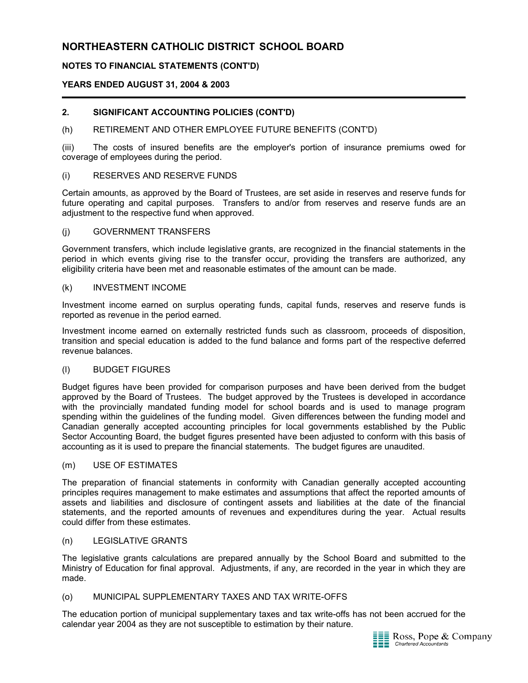## **NOTES TO FINANCIAL STATEMENTS (CONT'D)**

### **YEARS ENDED AUGUST 31, 2004 & 2003**

#### **2. SIGNIFICANT ACCOUNTING POLICIES (CONT'D)**

#### (h) RETIREMENT AND OTHER EMPLOYEE FUTURE BENEFITS (CONT'D)

(iii) The costs of insured benefits are the employer's portion of insurance premiums owed for coverage of employees during the period.

#### (i) RESERVES AND RESERVE FUNDS

Certain amounts, as approved by the Board of Trustees, are set aside in reserves and reserve funds for future operating and capital purposes. Transfers to and/or from reserves and reserve funds are an adjustment to the respective fund when approved.

#### (j) GOVERNMENT TRANSFERS

Government transfers, which include legislative grants, are recognized in the financial statements in the period in which events giving rise to the transfer occur, providing the transfers are authorized, any eligibility criteria have been met and reasonable estimates of the amount can be made.

#### (k) INVESTMENT INCOME

Investment income earned on surplus operating funds, capital funds, reserves and reserve funds is reported as revenue in the period earned.

Investment income earned on externally restricted funds such as classroom, proceeds of disposition, transition and special education is added to the fund balance and forms part of the respective deferred revenue balances.

#### (l) BUDGET FIGURES

Budget figures have been provided for comparison purposes and have been derived from the budget approved by the Board of Trustees. The budget approved by the Trustees is developed in accordance with the provincially mandated funding model for school boards and is used to manage program spending within the guidelines of the funding model. Given differences between the funding model and Canadian generally accepted accounting principles for local governments established by the Public Sector Accounting Board, the budget figures presented have been adjusted to conform with this basis of accounting as it is used to prepare the financial statements. The budget figures are unaudited.

#### (m) USE OF ESTIMATES

The preparation of financial statements in conformity with Canadian generally accepted accounting principles requires management to make estimates and assumptions that affect the reported amounts of assets and liabilities and disclosure of contingent assets and liabilities at the date of the financial statements, and the reported amounts of revenues and expenditures during the year. Actual results could differ from these estimates.

#### (n) LEGISLATIVE GRANTS

The legislative grants calculations are prepared annually by the School Board and submitted to the Ministry of Education for final approval. Adjustments, if any, are recorded in the year in which they are made.

#### (o) MUNICIPAL SUPPLEMENTARY TAXES AND TAX WRITE-OFFS

The education portion of municipal supplementary taxes and tax write-offs has not been accrued for the calendar year 2004 as they are not susceptible to estimation by their nature.

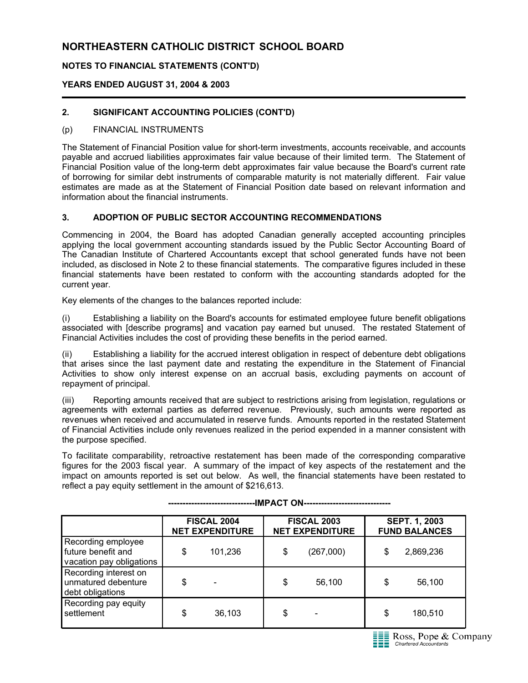## **NOTES TO FINANCIAL STATEMENTS (CONT'D)**

## **YEARS ENDED AUGUST 31, 2004 & 2003**

## **2. SIGNIFICANT ACCOUNTING POLICIES (CONT'D)**

#### (p) FINANCIAL INSTRUMENTS

The Statement of Financial Position value for short-term investments, accounts receivable, and accounts payable and accrued liabilities approximates fair value because of their limited term. The Statement of Financial Position value of the long-term debt approximates fair value because the Board's current rate of borrowing for similar debt instruments of comparable maturity is not materially different. Fair value estimates are made as at the Statement of Financial Position date based on relevant information and information about the financial instruments.

#### **3. ADOPTION OF PUBLIC SECTOR ACCOUNTING RECOMMENDATIONS**

Commencing in 2004, the Board has adopted Canadian generally accepted accounting principles applying the local government accounting standards issued by the Public Sector Accounting Board of The Canadian Institute of Chartered Accountants except that school generated funds have not been included, as disclosed in Note 2 to these financial statements. The comparative figures included in these financial statements have been restated to conform with the accounting standards adopted for the current year.

Key elements of the changes to the balances reported include:

(i) Establishing a liability on the Board's accounts for estimated employee future benefit obligations associated with [describe programs] and vacation pay earned but unused. The restated Statement of Financial Activities includes the cost of providing these benefits in the period earned.

(ii) Establishing a liability for the accrued interest obligation in respect of debenture debt obligations that arises since the last payment date and restating the expenditure in the Statement of Financial Activities to show only interest expense on an accrual basis, excluding payments on account of repayment of principal.

(iii) Reporting amounts received that are subject to restrictions arising from legislation, regulations or agreements with external parties as deferred revenue. Previously, such amounts were reported as revenues when received and accumulated in reserve funds. Amounts reported in the restated Statement of Financial Activities include only revenues realized in the period expended in a manner consistent with the purpose specified.

To facilitate comparability, retroactive restatement has been made of the corresponding comparative figures for the 2003 fiscal year. A summary of the impact of key aspects of the restatement and the impact on amounts reported is set out below. As well, the financial statements have been restated to reflect a pay equity settlement in the amount of \$216,613.

|                                                                      | <b>FISCAL 2004</b><br><b>NET EXPENDITURE</b> |         | <b>FISCAL 2003</b><br><b>NET EXPENDITURE</b> |           | <b>SEPT. 1, 2003</b><br><b>FUND BALANCES</b> |           |
|----------------------------------------------------------------------|----------------------------------------------|---------|----------------------------------------------|-----------|----------------------------------------------|-----------|
| Recording employee<br>future benefit and<br>vacation pay obligations | \$                                           | 101,236 | \$                                           | (267,000) | \$                                           | 2,869,236 |
| Recording interest on<br>unmatured debenture<br>debt obligations     | \$                                           | ۰       | \$                                           | 56,100    | \$                                           | 56,100    |
| Recording pay equity<br>settlement                                   | \$                                           | 36,103  | \$                                           |           | \$                                           | 180,510   |

**------------------------------IMPACT ON------------------------------**

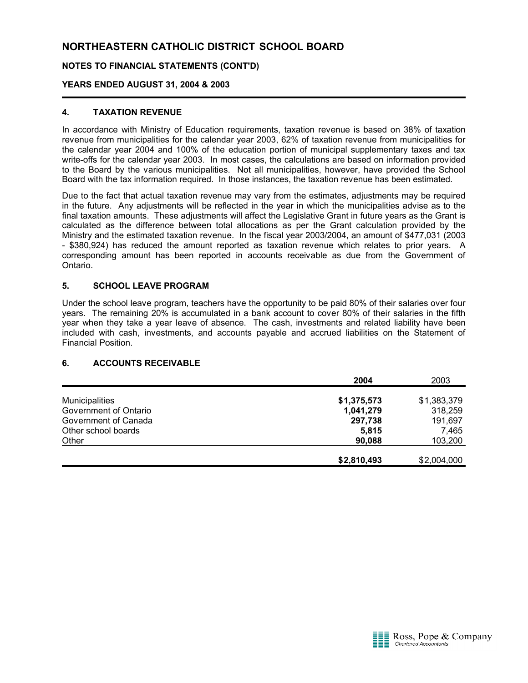## **NOTES TO FINANCIAL STATEMENTS (CONT'D)**

## **YEARS ENDED AUGUST 31, 2004 & 2003**

### **4. TAXATION REVENUE**

In accordance with Ministry of Education requirements, taxation revenue is based on 38% of taxation revenue from municipalities for the calendar year 2003, 62% of taxation revenue from municipalities for the calendar year 2004 and 100% of the education portion of municipal supplementary taxes and tax write-offs for the calendar year 2003. In most cases, the calculations are based on information provided to the Board by the various municipalities. Not all municipalities, however, have provided the School Board with the tax information required. In those instances, the taxation revenue has been estimated.

Due to the fact that actual taxation revenue may vary from the estimates, adjustments may be required in the future. Any adjustments will be reflected in the year in which the municipalities advise as to the final taxation amounts. These adjustments will affect the Legislative Grant in future years as the Grant is calculated as the difference between total allocations as per the Grant calculation provided by the Ministry and the estimated taxation revenue. In the fiscal year 2003/2004, an amount of \$477,031 (2003 - \$380,924) has reduced the amount reported as taxation revenue which relates to prior years. A corresponding amount has been reported in accounts receivable as due from the Government of Ontario.

### **5. SCHOOL LEAVE PROGRAM**

Under the school leave program, teachers have the opportunity to be paid 80% of their salaries over four years. The remaining 20% is accumulated in a bank account to cover 80% of their salaries in the fifth year when they take a year leave of absence. The cash, investments and related liability have been included with cash, investments, and accounts payable and accrued liabilities on the Statement of Financial Position.

#### **6. ACCOUNTS RECEIVABLE**

|                       | 2004        | 2003        |
|-----------------------|-------------|-------------|
|                       |             |             |
| <b>Municipalities</b> | \$1,375,573 | \$1,383,379 |
| Government of Ontario | 1,041,279   | 318,259     |
| Government of Canada  | 297,738     | 191,697     |
| Other school boards   | 5,815       | 7,465       |
| Other                 | 90,088      | 103,200     |
|                       |             |             |
|                       | \$2,810,493 | \$2,004,000 |

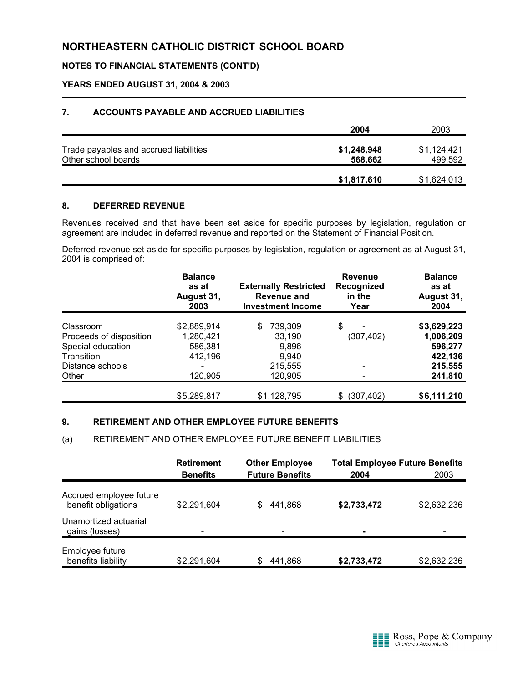## **NOTES TO FINANCIAL STATEMENTS (CONT'D)**

#### **YEARS ENDED AUGUST 31, 2004 & 2003**

#### **7. ACCOUNTS PAYABLE AND ACCRUED LIABILITIES**

|                                        | 2004        | 2003        |
|----------------------------------------|-------------|-------------|
| Trade payables and accrued liabilities | \$1,248,948 | \$1,124,421 |
| Other school boards                    | 568,662     | 499,592     |
|                                        |             |             |
|                                        | \$1,817,610 | \$1,624,013 |

#### **8. DEFERRED REVENUE**

Revenues received and that have been set aside for specific purposes by legislation, regulation or agreement are included in deferred revenue and reported on the Statement of Financial Position.

Deferred revenue set aside for specific purposes by legislation, regulation or agreement as at August 31, 2004 is comprised of:

|                         | <b>Balance</b><br>as at<br>August 31,<br>2003 | <b>Externally Restricted</b><br>Revenue and<br><b>Investment Income</b> | <b>Revenue</b><br>Recognized<br>in the<br>Year | <b>Balance</b><br>as at<br>August 31,<br>2004 |
|-------------------------|-----------------------------------------------|-------------------------------------------------------------------------|------------------------------------------------|-----------------------------------------------|
| Classroom               | \$2,889,914                                   | 739,309<br>S                                                            | \$                                             | \$3,629,223                                   |
| Proceeds of disposition | 1,280,421                                     | 33,190                                                                  | (307, 402)                                     | 1,006,209                                     |
| Special education       | 586,381                                       | 9,896                                                                   |                                                | 596,277                                       |
| Transition              | 412,196                                       | 9,940                                                                   |                                                | 422,136                                       |
| Distance schools        |                                               | 215,555                                                                 |                                                | 215,555                                       |
| Other                   | 120,905                                       | 120,905                                                                 |                                                | 241,810                                       |
|                         | \$5,289,817                                   | \$1,128,795                                                             | \$ (307, 402)                                  | \$6,111,210                                   |

#### **9. RETIREMENT AND OTHER EMPLOYEE FUTURE BENEFITS**

#### (a) RETIREMENT AND OTHER EMPLOYEE FUTURE BENEFIT LIABILITIES

|                                                | <b>Retirement</b><br><b>Benefits</b> | <b>Other Employee</b><br><b>Future Benefits</b> | <b>Total Employee Future Benefits</b><br>2004 | 2003        |
|------------------------------------------------|--------------------------------------|-------------------------------------------------|-----------------------------------------------|-------------|
| Accrued employee future<br>benefit obligations | \$2,291,604                          | 441.868<br>S                                    | \$2,733,472                                   | \$2,632,236 |
| Unamortized actuarial<br>gains (losses)        |                                      | $\qquad \qquad \blacksquare$                    | ۰                                             |             |
| Employee future<br>benefits liability          | \$2,291,604                          | 441,868                                         | \$2,733,472                                   | \$2,632,236 |

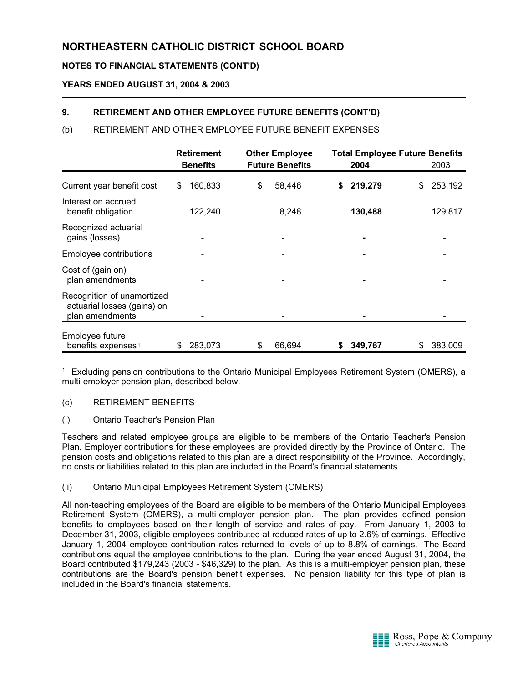## **NOTES TO FINANCIAL STATEMENTS (CONT'D)**

## **YEARS ENDED AUGUST 31, 2004 & 2003**

## **9. RETIREMENT AND OTHER EMPLOYEE FUTURE BENEFITS (CONT'D)**

## (b) RETIREMENT AND OTHER EMPLOYEE FUTURE BENEFIT EXPENSES

|                                                                              | <b>Retirement</b><br><b>Benefits</b> |         | <b>Other Employee</b><br><b>Future Benefits</b> |    |        |    |         | <b>Total Employee Future Benefits</b><br>2004 |         | 2003 |  |
|------------------------------------------------------------------------------|--------------------------------------|---------|-------------------------------------------------|----|--------|----|---------|-----------------------------------------------|---------|------|--|
| Current year benefit cost                                                    | S                                    | 160,833 |                                                 | \$ | 58,446 | S. | 219,279 | \$                                            | 253,192 |      |  |
| Interest on accrued<br>benefit obligation                                    |                                      | 122,240 |                                                 |    | 8,248  |    | 130,488 |                                               | 129,817 |      |  |
| Recognized actuarial<br>gains (losses)                                       |                                      |         |                                                 |    |        |    |         |                                               |         |      |  |
| Employee contributions                                                       |                                      |         |                                                 |    |        |    |         |                                               |         |      |  |
| Cost of (gain on)<br>plan amendments                                         |                                      |         |                                                 |    |        |    |         |                                               |         |      |  |
| Recognition of unamortized<br>actuarial losses (gains) on<br>plan amendments |                                      |         |                                                 |    |        |    |         |                                               |         |      |  |
| Employee future<br>benefits expenses <sup>1</sup>                            | S                                    | 283,073 |                                                 | \$ | 66,694 | \$ | 349,767 | S                                             | 383,009 |      |  |

<sup>1</sup> Excluding pension contributions to the Ontario Municipal Employees Retirement System (OMERS), a multi-employer pension plan, described below.

#### (c) RETIREMENT BENEFITS

#### (i) Ontario Teacher's Pension Plan

Teachers and related employee groups are eligible to be members of the Ontario Teacher's Pension Plan. Employer contributions for these employees are provided directly by the Province of Ontario. The pension costs and obligations related to this plan are a direct responsibility of the Province. Accordingly, no costs or liabilities related to this plan are included in the Board's financial statements.

#### (ii) Ontario Municipal Employees Retirement System (OMERS)

All non-teaching employees of the Board are eligible to be members of the Ontario Municipal Employees Retirement System (OMERS), a multi-employer pension plan. The plan provides defined pension benefits to employees based on their length of service and rates of pay. From January 1, 2003 to December 31, 2003, eligible employees contributed at reduced rates of up to 2.6% of earnings. Effective January 1, 2004 employee contribution rates returned to levels of up to 8.8% of earnings. The Board contributions equal the employee contributions to the plan. During the year ended August 31, 2004, the Board contributed \$179,243 (2003 - \$46,329) to the plan. As this is a multi-employer pension plan, these contributions are the Board's pension benefit expenses. No pension liability for this type of plan is included in the Board's financial statements.

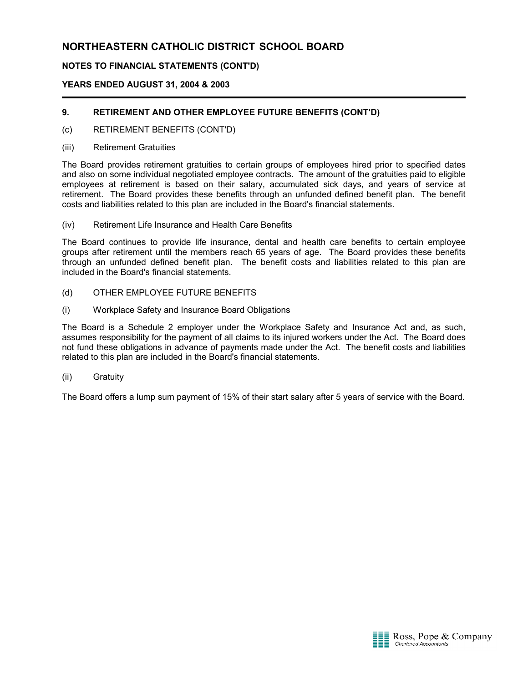## **NOTES TO FINANCIAL STATEMENTS (CONT'D)**

## **YEARS ENDED AUGUST 31, 2004 & 2003**

## **9. RETIREMENT AND OTHER EMPLOYEE FUTURE BENEFITS (CONT'D)**

- (c) RETIREMENT BENEFITS (CONT'D)
- (iii) Retirement Gratuities

The Board provides retirement gratuities to certain groups of employees hired prior to specified dates and also on some individual negotiated employee contracts. The amount of the gratuities paid to eligible employees at retirement is based on their salary, accumulated sick days, and years of service at retirement. The Board provides these benefits through an unfunded defined benefit plan. The benefit costs and liabilities related to this plan are included in the Board's financial statements.

(iv) Retirement Life Insurance and Health Care Benefits

The Board continues to provide life insurance, dental and health care benefits to certain employee groups after retirement until the members reach 65 years of age. The Board provides these benefits through an unfunded defined benefit plan. The benefit costs and liabilities related to this plan are included in the Board's financial statements.

- (d) OTHER EMPLOYEE FUTURE BENEFITS
- (i) Workplace Safety and Insurance Board Obligations

The Board is a Schedule 2 employer under the Workplace Safety and Insurance Act and, as such, assumes responsibility for the payment of all claims to its injured workers under the Act. The Board does not fund these obligations in advance of payments made under the Act. The benefit costs and liabilities related to this plan are included in the Board's financial statements.

(ii) Gratuity

The Board offers a lump sum payment of 15% of their start salary after 5 years of service with the Board.

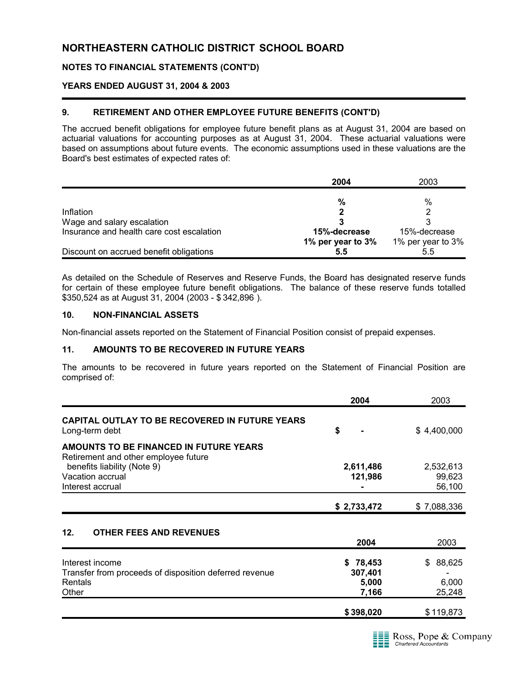## **NOTES TO FINANCIAL STATEMENTS (CONT'D)**

#### **YEARS ENDED AUGUST 31, 2004 & 2003**

### **9. RETIREMENT AND OTHER EMPLOYEE FUTURE BENEFITS (CONT'D)**

The accrued benefit obligations for employee future benefit plans as at August 31, 2004 are based on actuarial valuations for accounting purposes as at August 31, 2004. These actuarial valuations were based on assumptions about future events. The economic assumptions used in these valuations are the Board's best estimates of expected rates of:

|                                           | 2004              | 2003              |
|-------------------------------------------|-------------------|-------------------|
|                                           |                   |                   |
|                                           | %                 | %                 |
| Inflation                                 |                   |                   |
| Wage and salary escalation                |                   |                   |
| Insurance and health care cost escalation | 15%-decrease      | 15%-decrease      |
|                                           | 1% per year to 3% | 1% per year to 3% |
| Discount on accrued benefit obligations   | 5.5               | 5.5               |

As detailed on the Schedule of Reserves and Reserve Funds, the Board has designated reserve funds for certain of these employee future benefit obligations. The balance of these reserve funds totalled \$350,524 as at August 31, 2004 (2003 - \$ 342,896 ).

### **10. NON-FINANCIAL ASSETS**

Non-financial assets reported on the Statement of Financial Position consist of prepaid expenses.

#### **11. AMOUNTS TO BE RECOVERED IN FUTURE YEARS**

The amounts to be recovered in future years reported on the Statement of Financial Position are comprised of:

|                                                                                | 2004                 | 2003                |
|--------------------------------------------------------------------------------|----------------------|---------------------|
| <b>CAPITAL OUTLAY TO BE RECOVERED IN FUTURE YEARS</b><br>Long-term debt        | \$                   | \$4,400,000         |
| AMOUNTS TO BE FINANCED IN FUTURE YEARS<br>Retirement and other employee future |                      |                     |
| benefits liability (Note 9)<br>Vacation accrual                                | 2,611,486<br>121,986 | 2,532,613<br>99,623 |
| Interest accrual                                                               |                      | 56,100              |
|                                                                                | \$2,733,472          | \$7,088,336         |

## **12. OTHER FEES AND REVENUES**

|                                                        | 2004      | 2003      |
|--------------------------------------------------------|-----------|-----------|
| Interest income                                        | \$78,453  | \$88,625  |
| Transfer from proceeds of disposition deferred revenue | 307,401   |           |
| Rentals                                                | 5,000     | 6,000     |
| Other                                                  | 7.166     | 25,248    |
|                                                        |           |           |
|                                                        | \$398,020 | \$119,873 |

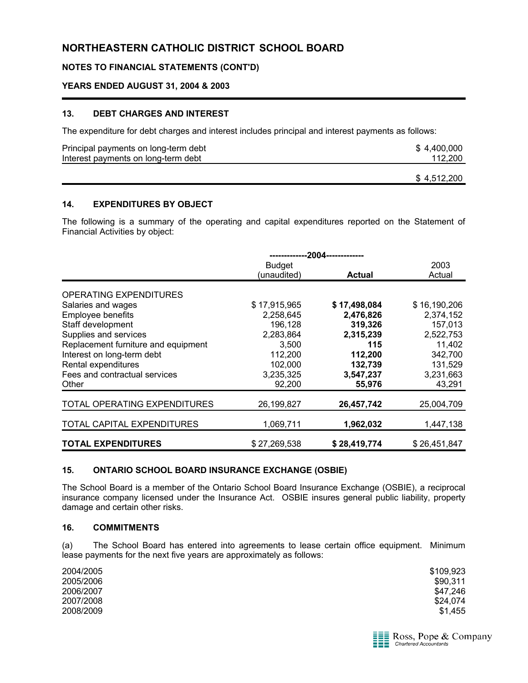## **NOTES TO FINANCIAL STATEMENTS (CONT'D)**

#### **YEARS ENDED AUGUST 31, 2004 & 2003**

#### **13. DEBT CHARGES AND INTEREST**

The expenditure for debt charges and interest includes principal and interest payments as follows:

| Principal payments on long-term debt | \$4.400.000 |
|--------------------------------------|-------------|
| Interest payments on long-term debt  | 112.200     |
|                                      |             |

#### **14. EXPENDITURES BY OBJECT**

The following is a summary of the operating and capital expenditures reported on the Statement of Financial Activities by object:

|                                     | --2004-------------- |               |              |  |
|-------------------------------------|----------------------|---------------|--------------|--|
|                                     | <b>Budget</b>        |               | 2003         |  |
|                                     | (unaudited)          | <b>Actual</b> | Actual       |  |
|                                     |                      |               |              |  |
| <b>OPERATING EXPENDITURES</b>       |                      |               |              |  |
| Salaries and wages                  | \$17,915,965         | \$17,498,084  | \$16,190,206 |  |
| Employee benefits                   | 2,258,645            | 2,476,826     | 2,374,152    |  |
| Staff development                   | 196.128              | 319,326       | 157,013      |  |
| Supplies and services               | 2,283,864            | 2,315,239     | 2,522,753    |  |
| Replacement furniture and equipment | 3,500                | 115           | 11,402       |  |
| Interest on long-term debt          | 112,200              | 112,200       | 342,700      |  |
| Rental expenditures                 | 102,000              | 132,739       | 131,529      |  |
| Fees and contractual services       | 3,235,325            | 3,547,237     | 3,231,663    |  |
| Other                               | 92,200               | 55,976        | 43,291       |  |
|                                     |                      |               |              |  |
| TOTAL OPERATING EXPENDITURES        | 26,199,827           | 26,457,742    | 25,004,709   |  |
|                                     |                      |               |              |  |
| TOTAL CAPITAL EXPENDITURES          | 1,069,711            | 1,962,032     | 1,447,138    |  |
|                                     |                      |               |              |  |
| <b>TOTAL EXPENDITURES</b>           | \$27,269,538         | \$28,419,774  | \$26,451,847 |  |

#### **15. ONTARIO SCHOOL BOARD INSURANCE EXCHANGE (OSBIE)**

The School Board is a member of the Ontario School Board Insurance Exchange (OSBIE), a reciprocal insurance company licensed under the Insurance Act. OSBIE insures general public liability, property damage and certain other risks.

#### **16. COMMITMENTS**

(a) The School Board has entered into agreements to lease certain office equipment. Minimum lease payments for the next five years are approximately as follows:

| 2004/2005 | \$109,923 |
|-----------|-----------|
| 2005/2006 | \$90,311  |
| 2006/2007 | \$47.246  |
| 2007/2008 | \$24,074  |
| 2008/2009 | \$1,455   |



\$ 4,512,200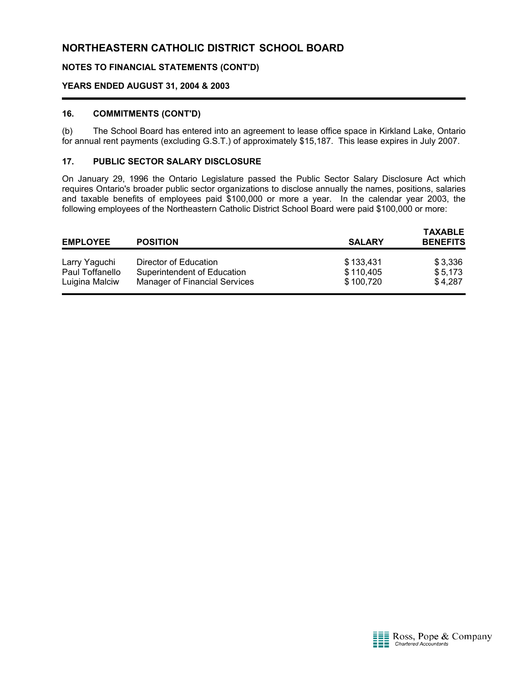## **NOTES TO FINANCIAL STATEMENTS (CONT'D)**

#### **YEARS ENDED AUGUST 31, 2004 & 2003**

#### **16. COMMITMENTS (CONT'D)**

(b) The School Board has entered into an agreement to lease office space in Kirkland Lake, Ontario for annual rent payments (excluding G.S.T.) of approximately \$15,187. This lease expires in July 2007.

#### **17. PUBLIC SECTOR SALARY DISCLOSURE**

On January 29, 1996 the Ontario Legislature passed the Public Sector Salary Disclosure Act which requires Ontario's broader public sector organizations to disclose annually the names, positions, salaries and taxable benefits of employees paid \$100,000 or more a year. In the calendar year 2003, the following employees of the Northeastern Catholic District School Board were paid \$100,000 or more:

| <b>EMPLOYEE</b><br><b>POSITION</b> |                                                      | <b>TAXABLE</b><br><b>BENEFITS</b><br><b>SALARY</b> |                    |  |
|------------------------------------|------------------------------------------------------|----------------------------------------------------|--------------------|--|
| Larry Yaguchi<br>Paul Toffanello   | Director of Education<br>Superintendent of Education | \$133,431<br>\$110,405                             | \$3,336<br>\$5.173 |  |
| Luigina Malciw                     | <b>Manager of Financial Services</b>                 | \$100,720                                          | \$4,287            |  |

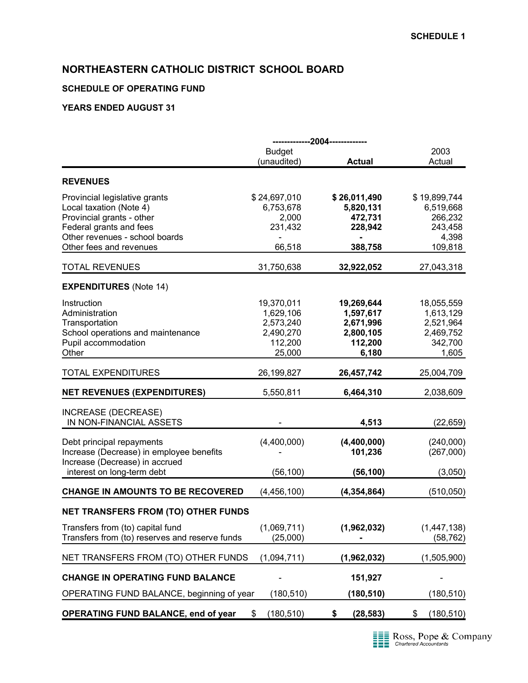## **SCHEDULE OF OPERATING FUND**

|                                                                                                                                                                               |                                                                        | -------------2004-------------                                        |                                                                       |
|-------------------------------------------------------------------------------------------------------------------------------------------------------------------------------|------------------------------------------------------------------------|-----------------------------------------------------------------------|-----------------------------------------------------------------------|
|                                                                                                                                                                               | <b>Budget</b><br>(unaudited)                                           | <b>Actual</b>                                                         | 2003<br>Actual                                                        |
| <b>REVENUES</b>                                                                                                                                                               |                                                                        |                                                                       |                                                                       |
| Provincial legislative grants<br>Local taxation (Note 4)<br>Provincial grants - other<br>Federal grants and fees<br>Other revenues - school boards<br>Other fees and revenues | \$24,697,010<br>6,753,678<br>2,000<br>231,432<br>66,518                | \$26,011,490<br>5,820,131<br>472,731<br>228,942<br>388,758            | \$19,899,744<br>6,519,668<br>266,232<br>243,458<br>4,398<br>109,818   |
| <b>TOTAL REVENUES</b>                                                                                                                                                         | 31,750,638                                                             | 32,922,052                                                            | 27,043,318                                                            |
| <b>EXPENDITURES</b> (Note 14)                                                                                                                                                 |                                                                        |                                                                       |                                                                       |
| Instruction<br>Administration<br>Transportation<br>School operations and maintenance<br>Pupil accommodation<br>Other                                                          | 19,370,011<br>1,629,106<br>2,573,240<br>2,490,270<br>112,200<br>25,000 | 19,269,644<br>1,597,617<br>2,671,996<br>2,800,105<br>112,200<br>6,180 | 18,055,559<br>1,613,129<br>2,521,964<br>2,469,752<br>342,700<br>1,605 |
| <b>TOTAL EXPENDITURES</b>                                                                                                                                                     | 26,199,827                                                             | 26,457,742                                                            | 25,004,709                                                            |
| <b>NET REVENUES (EXPENDITURES)</b>                                                                                                                                            | 5,550,811                                                              | 6,464,310                                                             | 2,038,609                                                             |
| <b>INCREASE (DECREASE)</b><br>IN NON-FINANCIAL ASSETS                                                                                                                         |                                                                        | 4,513                                                                 | (22, 659)                                                             |
| Debt principal repayments<br>Increase (Decrease) in employee benefits<br>Increase (Decrease) in accrued<br>interest on long-term debt                                         | (4,400,000)<br>(56, 100)                                               | (4,400,000)<br>101,236<br>(56, 100)                                   | (240,000)<br>(267,000)<br>(3,050)                                     |
| <b>CHANGE IN AMOUNTS TO BE RECOVERED</b>                                                                                                                                      | (4,456,100)                                                            | (4, 354, 864)                                                         | (510, 050)                                                            |
| <b>NET TRANSFERS FROM (TO) OTHER FUNDS</b>                                                                                                                                    |                                                                        |                                                                       |                                                                       |
| Transfers from (to) capital fund<br>Transfers from (to) reserves and reserve funds                                                                                            | (1,069,711)<br>(25,000)                                                | (1,962,032)                                                           | (1, 447, 138)<br>(58, 762)                                            |
| NET TRANSFERS FROM (TO) OTHER FUNDS                                                                                                                                           | (1,094,711)                                                            | (1,962,032)                                                           | (1,505,900)                                                           |
| <b>CHANGE IN OPERATING FUND BALANCE</b>                                                                                                                                       |                                                                        | 151,927                                                               |                                                                       |
| OPERATING FUND BALANCE, beginning of year                                                                                                                                     | (180, 510)                                                             | (180, 510)                                                            | (180, 510)                                                            |
| <b>OPERATING FUND BALANCE, end of year</b>                                                                                                                                    | (180, 510)<br>\$                                                       | \$<br>(28, 583)                                                       | (180, 510)<br>\$                                                      |

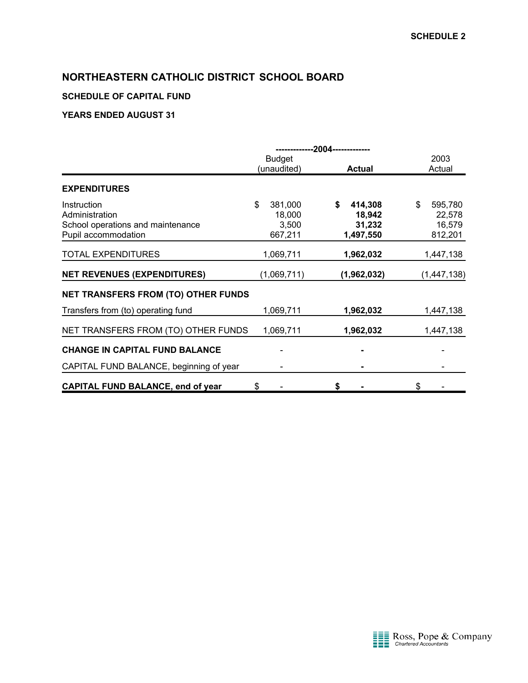## **SCHEDULE OF CAPITAL FUND**

|                                                                                           | --2004--------------                        |                                          |                                              |
|-------------------------------------------------------------------------------------------|---------------------------------------------|------------------------------------------|----------------------------------------------|
|                                                                                           | <b>Budget</b><br>(unaudited)                | <b>Actual</b>                            | 2003<br>Actual                               |
| <b>EXPENDITURES</b>                                                                       |                                             |                                          |                                              |
| Instruction<br>Administration<br>School operations and maintenance<br>Pupil accommodation | \$<br>381,000<br>18,000<br>3,500<br>667,211 | 414,308<br>18,942<br>31,232<br>1,497,550 | \$<br>595,780<br>22,578<br>16,579<br>812,201 |
| <b>TOTAL EXPENDITURES</b>                                                                 | 1,069,711                                   | 1,962,032                                | 1,447,138                                    |
| <b>NET REVENUES (EXPENDITURES)</b>                                                        | (1,069,711)                                 | (1,962,032)                              | (1, 447, 138)                                |
| <b>NET TRANSFERS FROM (TO) OTHER FUNDS</b>                                                |                                             |                                          |                                              |
| Transfers from (to) operating fund                                                        | 1,069,711                                   | 1,962,032                                | 1,447,138                                    |
| NET TRANSFERS FROM (TO) OTHER FUNDS                                                       | 1,069,711                                   | 1,962,032                                | 1,447,138                                    |
| <b>CHANGE IN CAPITAL FUND BALANCE</b>                                                     |                                             |                                          |                                              |
| CAPITAL FUND BALANCE, beginning of year                                                   |                                             |                                          |                                              |
| <b>CAPITAL FUND BALANCE, end of year</b>                                                  | \$                                          | \$                                       | \$                                           |

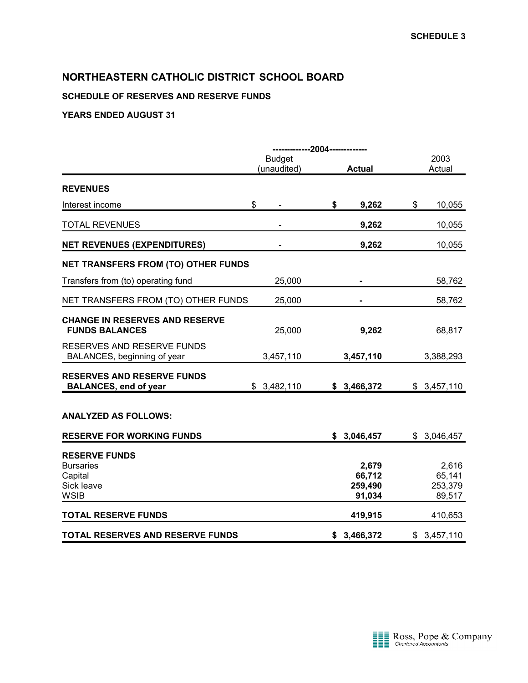## **SCHEDULE OF RESERVES AND RESERVE FUNDS**

|                                                                                  | -------------2004------------- |    |                                      |                                      |  |
|----------------------------------------------------------------------------------|--------------------------------|----|--------------------------------------|--------------------------------------|--|
|                                                                                  | <b>Budget</b><br>(unaudited)   |    | <b>Actual</b>                        | 2003<br>Actual                       |  |
|                                                                                  |                                |    |                                      |                                      |  |
| <b>REVENUES</b>                                                                  |                                |    |                                      |                                      |  |
| Interest income                                                                  | \$                             | \$ | 9,262                                | \$<br>10,055                         |  |
| <b>TOTAL REVENUES</b>                                                            |                                |    | 9,262                                | 10,055                               |  |
| <b>NET REVENUES (EXPENDITURES)</b>                                               |                                |    | 9,262                                | 10,055                               |  |
| <b>NET TRANSFERS FROM (TO) OTHER FUNDS</b>                                       |                                |    |                                      |                                      |  |
| Transfers from (to) operating fund                                               | 25,000                         |    |                                      | 58,762                               |  |
| NET TRANSFERS FROM (TO) OTHER FUNDS                                              | 25,000                         |    |                                      | 58,762                               |  |
| <b>CHANGE IN RESERVES AND RESERVE</b><br><b>FUNDS BALANCES</b>                   | 25,000                         |    | 9,262                                | 68,817                               |  |
| RESERVES AND RESERVE FUNDS<br>BALANCES, beginning of year                        | 3,457,110                      |    | 3,457,110                            | 3,388,293                            |  |
| <b>RESERVES AND RESERVE FUNDS</b><br><b>BALANCES, end of year</b>                | \$3,482,110                    |    | \$3,466,372                          | \$3,457,110                          |  |
| <b>ANALYZED AS FOLLOWS:</b>                                                      |                                |    |                                      |                                      |  |
| <b>RESERVE FOR WORKING FUNDS</b>                                                 |                                |    | \$3,046,457                          | \$3,046,457                          |  |
| <b>RESERVE FUNDS</b><br><b>Bursaries</b><br>Capital<br>Sick leave<br><b>WSIB</b> |                                |    | 2,679<br>66,712<br>259,490<br>91,034 | 2,616<br>65,141<br>253,379<br>89,517 |  |
| <b>TOTAL RESERVE FUNDS</b>                                                       |                                |    | 419,915                              | 410,653                              |  |
| TOTAL RESERVES AND RESERVE FUNDS                                                 |                                | \$ | 3,466,372                            | \$3,457,110                          |  |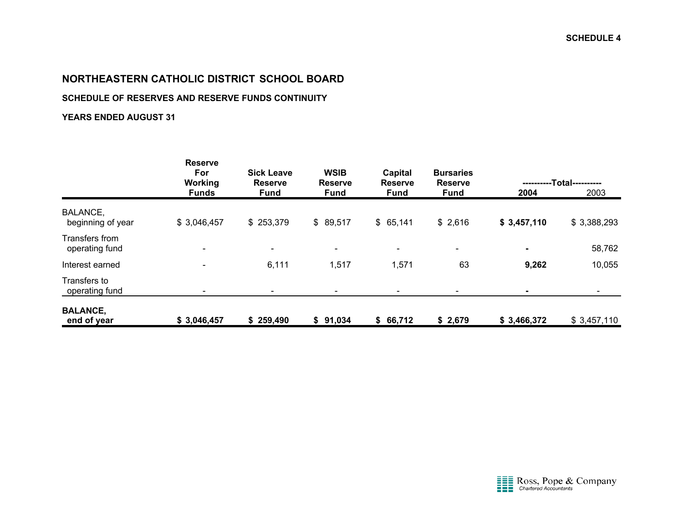## **SCHEDULE OF RESERVES AND RESERVE FUNDS CONTINUITY**

|                                      | <b>Reserve</b><br>For<br>Working | <b>Sick Leave</b><br><b>Reserve</b> | <b>WSIB</b><br><b>Reserve</b> | Capital<br><b>Reserve</b> | <b>Bursaries</b><br><b>Reserve</b> |             | -Total---------- |
|--------------------------------------|----------------------------------|-------------------------------------|-------------------------------|---------------------------|------------------------------------|-------------|------------------|
|                                      | <b>Funds</b>                     | <b>Fund</b>                         | <b>Fund</b>                   | <b>Fund</b>               | <b>Fund</b>                        | 2004        | 2003             |
| <b>BALANCE,</b><br>beginning of year | \$3,046,457                      | \$253,379                           | \$89,517                      | \$65,141                  | \$2,616                            | \$3,457,110 | \$3,388,293      |
| Transfers from<br>operating fund     | $\qquad \qquad \blacksquare$     | $\overline{\phantom{a}}$            | $\overline{\phantom{a}}$      | $\overline{\phantom{0}}$  | $\overline{\phantom{a}}$           | $\sim$      | 58,762           |
| Interest earned                      |                                  | 6,111                               | 1,517                         | 1,571                     | 63                                 | 9,262       | 10,055           |
| Transfers to<br>operating fund       |                                  |                                     |                               |                           |                                    | ۰           |                  |
| <b>BALANCE,</b><br>end of year       | \$3,046,457                      | \$259,490                           | \$91,034                      | \$66,712                  | \$2,679                            | \$3,466,372 | \$3,457,110      |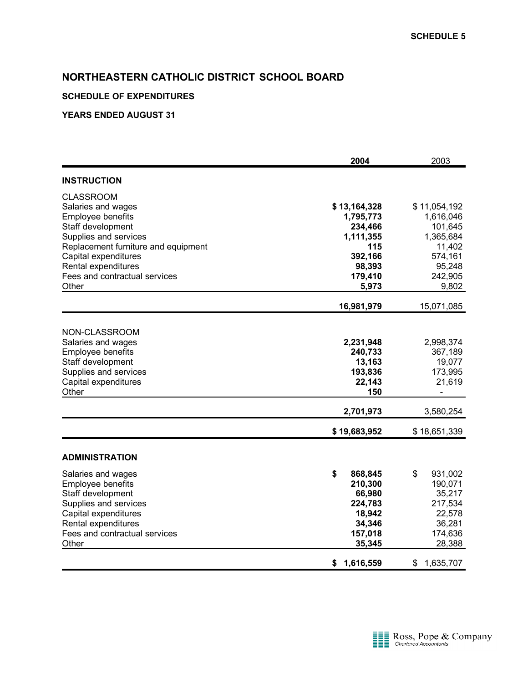## **SCHEDULE OF EXPENDITURES**

|                                                                                                                                                                                                                                           | 2004                                                                                                   | 2003                                                                                                   |
|-------------------------------------------------------------------------------------------------------------------------------------------------------------------------------------------------------------------------------------------|--------------------------------------------------------------------------------------------------------|--------------------------------------------------------------------------------------------------------|
| <b>INSTRUCTION</b>                                                                                                                                                                                                                        |                                                                                                        |                                                                                                        |
| <b>CLASSROOM</b><br>Salaries and wages<br>Employee benefits<br>Staff development<br>Supplies and services<br>Replacement furniture and equipment<br>Capital expenditures<br>Rental expenditures<br>Fees and contractual services<br>Other | \$13,164,328<br>1,795,773<br>234,466<br>1,111,355<br>115<br>392,166<br>98,393<br>179,410<br>5,973      | \$11,054,192<br>1,616,046<br>101,645<br>1,365,684<br>11,402<br>574,161<br>95,248<br>242,905<br>9,802   |
|                                                                                                                                                                                                                                           | 16,981,979                                                                                             | 15,071,085                                                                                             |
| NON-CLASSROOM<br>Salaries and wages<br>Employee benefits<br>Staff development<br>Supplies and services<br>Capital expenditures<br>Other                                                                                                   | 2,231,948<br>240,733<br>13,163<br>193,836<br>22,143<br>150                                             | 2,998,374<br>367,189<br>19,077<br>173,995<br>21,619                                                    |
|                                                                                                                                                                                                                                           | 2,701,973                                                                                              | 3,580,254                                                                                              |
| <b>ADMINISTRATION</b><br>Salaries and wages<br><b>Employee benefits</b><br>Staff development<br>Supplies and services<br>Capital expenditures<br>Rental expenditures<br>Fees and contractual services<br>Other                            | \$19,683,952<br>\$<br>868,845<br>210,300<br>66,980<br>224,783<br>18,942<br>34,346<br>157,018<br>35,345 | \$18,651,339<br>\$<br>931,002<br>190,071<br>35,217<br>217,534<br>22,578<br>36,281<br>174,636<br>28,388 |
|                                                                                                                                                                                                                                           | \$<br>1,616,559                                                                                        | 1,635,707<br>\$                                                                                        |